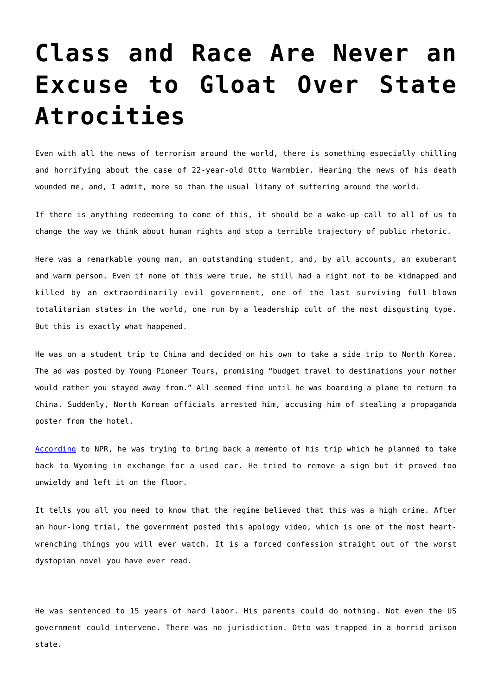# **[Class and Race Are Never an](https://intellectualtakeout.org/2017/06/class-and-race-are-never-an-excuse-to-gloat-over-state-atrocities/) [Excuse to Gloat Over State](https://intellectualtakeout.org/2017/06/class-and-race-are-never-an-excuse-to-gloat-over-state-atrocities/) [Atrocities](https://intellectualtakeout.org/2017/06/class-and-race-are-never-an-excuse-to-gloat-over-state-atrocities/)**

Even with all the news of terrorism around the world, there is something especially chilling and horrifying about the case of 22-year-old Otto Warmbier. Hearing the news of his death wounded me, and, I admit, more so than the usual litany of suffering around the world.

If there is anything redeeming to come of this, it should be a wake-up call to all of us to change the way we think about human rights and stop a terrible trajectory of public rhetoric.

Here was a remarkable young man, an outstanding student, and, by all accounts, an exuberant and warm person. Even if none of this were true, he still had a right not to be kidnapped and killed by an extraordinarily evil government, one of the last surviving full-blown totalitarian states in the world, one run by a leadership cult of the most disgusting type. But this is exactly what happened.

He was on a student trip to China and decided on his own to take a side trip to North Korea. The ad was posted by Young Pioneer Tours, promising "budget travel to destinations your mother would rather you stayed away from." All seemed fine until he was boarding a plane to return to China. Suddenly, North Korean officials arrested him, accusing him of stealing a propaganda poster from the hotel.

[According](http://www.npr.org/sections/thetwo-way/2016/02/29/468545115/detained-american-student-gives-apparent-confession-in-north-korean-video) to NPR, he was trying to bring back a memento of his trip which he planned to take back to Wyoming in exchange for a used car. He tried to remove a sign but it proved too unwieldy and left it on the floor.

It tells you all you need to know that the regime believed that this was a high crime. After an hour-long trial, the government posted this apology video, which is one of the most heartwrenching things you will ever watch. It is a forced confession straight out of the worst dystopian novel you have ever read.

He was sentenced to 15 years of hard labor. His parents could do nothing. Not even the US government could intervene. There was no jurisdiction. Otto was trapped in a horrid prison state.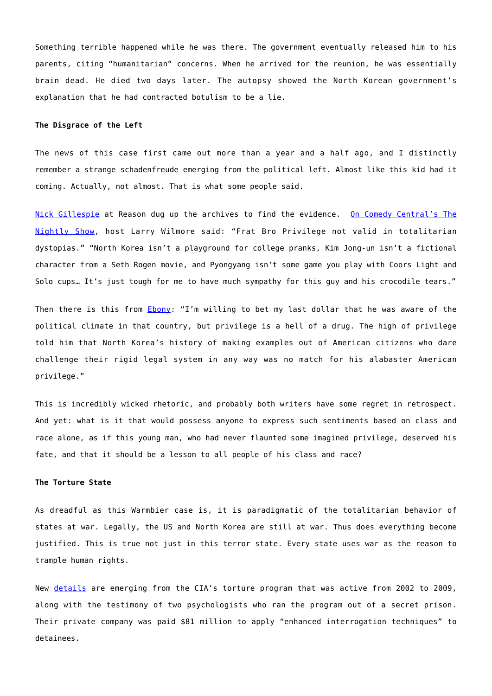Something terrible happened while he was there. The government eventually released him to his parents, citing "humanitarian" concerns. When he arrived for the reunion, he was essentially brain dead. He died two days later. The autopsy showed the North Korean government's explanation that he had contracted botulism to be a lie.

## **The Disgrace of the Left**

The news of this case first came out more than a year and a half ago, and I distinctly remember a strange schadenfreude emerging from the political left. Almost like this kid had it coming. Actually, not almost. That is what some people said.

[Nick Gillespie](https://reason.com/blog/2017/06/19/did-otto-warmbier-really-die-because-nor) at Reason dug up the archives to find the evidence. [On Comedy Central's The](https://www.salon.com/2016/03/02/this_might_be_americas_biggest_idiot_frat_boy_meet_the_uva_student_who_thought_he_could_pull_a_prank_in_north_korea/) [Nightly Show](https://www.salon.com/2016/03/02/this_might_be_americas_biggest_idiot_frat_boy_meet_the_uva_student_who_thought_he_could_pull_a_prank_in_north_korea/), host Larry Wilmore said: "Frat Bro Privilege not valid in totalitarian dystopias." "North Korea isn't a playground for college pranks, Kim Jong-un isn't a fictional character from a Seth Rogen movie, and Pyongyang isn't some game you play with Coors Light and Solo cups… It's just tough for me to have much sympathy for this guy and his crocodile tears."

Then there is this from [Ebony:](http://www.ebony.com/news-views/north-korea-otto-warmbier-kinfolkkollective#axzz4kVECCWZ9) "I'm willing to bet my last dollar that he was aware of the political climate in that country, but privilege is a hell of a drug. The high of privilege told him that North Korea's history of making examples out of American citizens who dare challenge their rigid legal system in any way was no match for his alabaster American privilege."

This is incredibly wicked rhetoric, and probably both writers have some regret in retrospect. And yet: what is it that would possess anyone to express such sentiments based on class and race alone, as if this young man, who had never flaunted some imagined privilege, deserved his fate, and that it should be a lesson to all people of his class and race?

## **The Torture State**

As dreadful as this Warmbier case is, it is paradigmatic of the totalitarian behavior of states at war. Legally, the US and North Korea are still at war. Thus does everything become justified. This is true not just in this terror state. Every state uses war as the reason to trample human rights.

New [details](https://www.nytimes.com/interactive/2017/06/21/us/cia-torture.html?hp&action=click&pgtype=Homepage&clickSource=story-heading&module=first-column-region®ion=top-news&WT.nav=top-news&_r=0) are emerging from the CIA's torture program that was active from 2002 to 2009, along with the testimony of two psychologists who ran the program out of a secret prison. Their private company was paid \$81 million to apply "enhanced interrogation techniques" to detainees.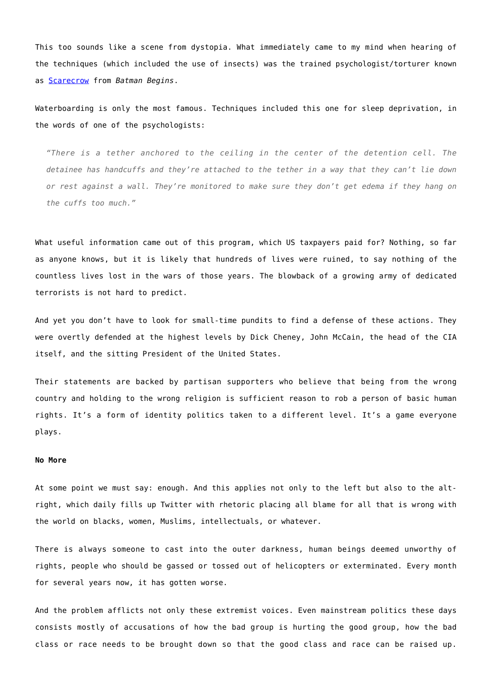This too sounds like a scene from dystopia. What immediately came to my mind when hearing of the techniques (which included the use of insects) was the trained psychologist/torturer known as [Scarecrow](http://batman.wikia.com/wiki/Scarecrow) from *Batman Begins*.

Waterboarding is only the most famous. Techniques included this one for sleep deprivation, in the words of one of the psychologists:

*"There is a tether anchored to the ceiling in the center of the detention cell. The detainee has handcuffs and they're attached to the tether in a way that they can't lie down or rest against a wall. They're monitored to make sure they don't get edema if they hang on the cuffs too much."*

What useful information came out of this program, which US taxpayers paid for? Nothing, so far as anyone knows, but it is likely that hundreds of lives were ruined, to say nothing of the countless lives lost in the wars of those years. The blowback of a growing army of dedicated terrorists is not hard to predict.

And yet you don't have to look for small-time pundits to find a defense of these actions. They were overtly defended at the highest levels by Dick Cheney, John McCain, the head of the CIA itself, and the sitting President of the United States.

Their statements are backed by partisan supporters who believe that being from the wrong country and holding to the wrong religion is sufficient reason to rob a person of basic human rights. It's a form of identity politics taken to a different level. It's a game everyone plays.

## **No More**

At some point we must say: enough. And this applies not only to the left but also to the altright, which daily fills up Twitter with rhetoric placing all blame for all that is wrong with the world on blacks, women, Muslims, intellectuals, or whatever.

There is always someone to cast into the outer darkness, human beings deemed unworthy of rights, people who should be gassed or tossed out of helicopters or exterminated. Every month for several years now, it has gotten worse.

And the problem afflicts not only these extremist voices. Even mainstream politics these days consists mostly of accusations of how the bad group is hurting the good group, how the bad class or race needs to be brought down so that the good class and race can be raised up.